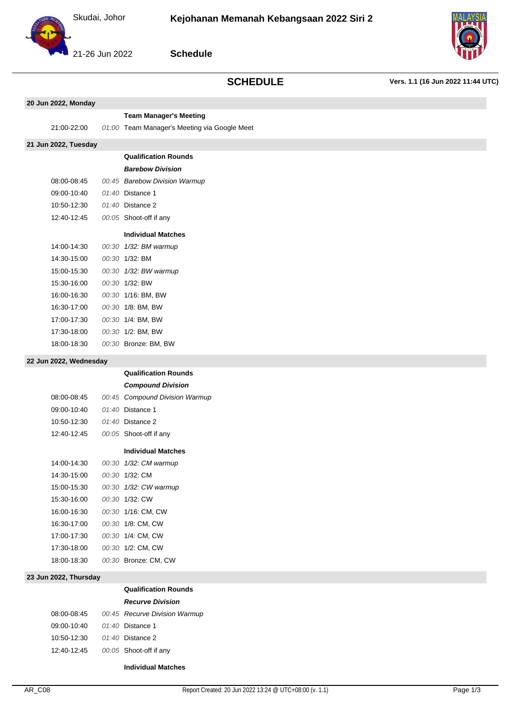



21-26 Jun 2022

**Schedule**

# **SCHEDULE Vers. 1.1 (16 Jun 2022 11:44 UTC)**

|                        | 20 Jun 2022, Monday  |  |                                              |  |
|------------------------|----------------------|--|----------------------------------------------|--|
|                        |                      |  | <b>Team Manager's Meeting</b>                |  |
|                        | 21:00-22:00          |  | 01:00 Team Manager's Meeting via Google Meet |  |
|                        | 21 Jun 2022, Tuesday |  |                                              |  |
|                        |                      |  | <b>Qualification Rounds</b>                  |  |
|                        |                      |  | <b>Barebow Division</b>                      |  |
|                        | 08:00-08:45          |  | 00:45 Barebow Division Warmup                |  |
|                        | 09:00-10:40          |  | 01:40 Distance 1                             |  |
|                        | 10:50-12:30          |  | 01:40 Distance 2                             |  |
|                        | 12:40-12:45          |  | 00:05 Shoot-off if any                       |  |
|                        |                      |  | <b>Individual Matches</b>                    |  |
|                        | 14:00-14:30          |  | 00:30 1/32: BM warmup                        |  |
|                        | 14:30-15:00          |  | 00:30 1/32: BM                               |  |
|                        | 15:00-15:30          |  | 00:30 1/32: BW warmup                        |  |
|                        | 15:30-16:00          |  | 00:30 1/32: BW                               |  |
|                        | 16:00-16:30          |  | 00:30 1/16: BM, BW                           |  |
|                        | 16:30-17:00          |  | 00:30 1/8: BM, BW                            |  |
|                        | 17:00-17:30          |  | 00:30 1/4: BM, BW                            |  |
|                        | 17:30-18:00          |  | 00:30 1/2: BM, BW                            |  |
|                        | 18:00-18:30          |  | 00:30 Bronze: BM, BW                         |  |
| 22 Jun 2022, Wednesday |                      |  |                                              |  |
|                        |                      |  | <b>Qualification Rounds</b>                  |  |
|                        |                      |  | <b>Compound Division</b>                     |  |
|                        | 08:00-08:45          |  | 00:45 Compound Division Warmup               |  |
|                        |                      |  |                                              |  |

I

|             | <b>Compound Division</b>    |
|-------------|-----------------------------|
| 08:00-08:45 | 00:45 Compound Division War |
| 09:00-10:40 | 01:40 Distance 1            |
| 10:50-12:30 | $01:40$ Distance 2          |
| 12:40-12:45 | 00:05 Shoot-off if any      |
|             | <b>Individual Matches</b>   |
| 14:00-14:30 | 00:30 1/32: CM warmup       |
| 14:30-15:00 | 00:30 1/32: CM              |
| 15:00-15:30 | 00:30 1/32: CW warmup       |
| 15:30-16:00 | 00:30 1/32: CW              |
| 16:00-16:30 | 00:30 1/16: CM. CW          |
| 16:30-17:00 | 00:30 1/8: CM, CW           |
| 17:00-17:30 | 00:30 1/4: CM. CW           |
| 17:30-18:00 | 00:30 1/2: CM, CW           |
| 18:00-18:30 | 00:30 Bronze: CM, CW        |

## **23 Jun 2022, Thursday**

### **Qualification Rounds**

## **Recurve Division**

| 08:00-08:45 | 00:45 Recurve Division Warmup |
|-------------|-------------------------------|
| 09:00-10:40 | 01:40 Distance 1              |
| 10:50-12:30 | $01:40$ Distance 2            |
| 12:40-12:45 | 00:05 Shoot-off if any        |
|             |                               |

### **Individual Matches**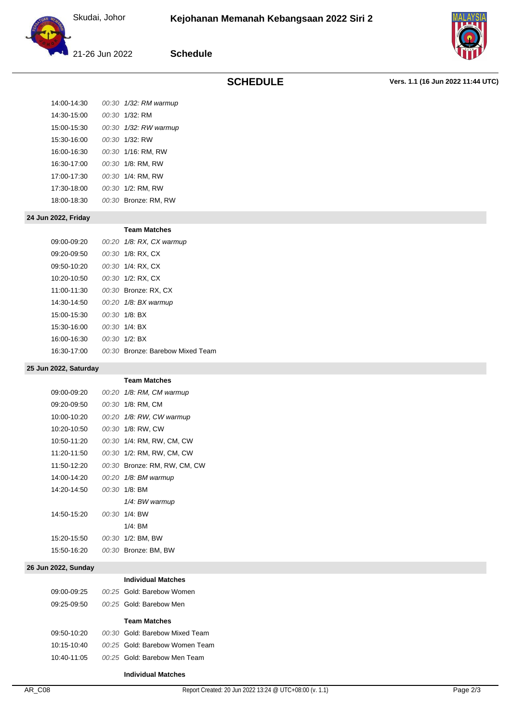Skudai, Johor



21-26 Jun 2022

**Schedule**

**SCHEDULE Vers. 1.1 (16 Jun 2022 11:44 UTC)**

| 14:00-14:30 | 00:30 1/32: RM warmup |
|-------------|-----------------------|
| 14:30-15:00 | $00:30$ 1/32 RM       |
| 15:00-15:30 | 00:30 1/32: RW warmup |
| 15:30-16:00 | $00:30$ 1/32 RW       |
| 16:00-16:30 | 00:30 1/16: RM, RW    |
| 16:30-17:00 | 00:30 1/8: RM, RW     |
| 17:00-17:30 | 00:30 1/4: RM, RW     |
| 17:30-18:00 | 00:30 1/2: RM. RW     |
| 18:00-18:30 | 00:30 Bronze: RM, RW  |
|             |                       |

**24 Jun 2022, Friday**

|             | <b>Team Matches</b>              |
|-------------|----------------------------------|
| 09:00-09:20 | 00:20 1/8: RX, CX warmup         |
| 09:20-09:50 | 00:30 1/8: RX, CX                |
| 09:50-10:20 | 00:30 1/4: RX, CX                |
| 10:20-10:50 | 00:30 1/2: RX, CX                |
| 11:00-11:30 | 00:30 Bronze: RX. CX             |
| 14:30-14:50 | 00:20 1/8: BX warmup             |
| 15:00-15:30 | $00:30$ 1/8: BX                  |
| 15:30-16:00 | 00:30 1/4: BX                    |
| 16:00-16:30 | $00:30$ $1/2$ BX                 |
| 16:30-17:00 | 00:30 Bronze: Barebow Mixed Team |

### **25 Jun 2022, Saturday**

|             | <b>Team Matches</b>          |
|-------------|------------------------------|
| 09:00-09:20 | 00:20 1/8: RM, CM warmup     |
| 09:20-09:50 | 00:30 1/8: RM. CM            |
| 10:00-10:20 | 00:20 1/8: RW, CW warmup     |
| 10:20-10:50 | 00:30 1/8: RW. CW            |
| 10:50-11:20 | 00:30 1/4: RM, RW, CM, CW    |
| 11:20-11:50 | 00:30 1/2: RM, RW, CM, CW    |
| 11:50-12:20 | 00:30 Bronze: RM. RW. CM. CW |
| 14:00-14:20 | 00:20 1/8: BM warmup         |
| 14:20-14:50 | 00:30 1/8: BM                |
|             | 1/4: BW warmup               |
| 14:50-15:20 | 00:30 1/4: BW                |
|             | $1/4$ : BM                   |
| 15:20-15:50 | 00:30 1/2: BM, BW            |
| 15:50-16:20 | 00:30 Bronze: BM, BW         |
|             |                              |

### **26 Jun 2022, Sunday**

| Individual Matel |  |  |
|------------------|--|--|
|                  |  |  |

|             | <b>Individual Matches</b>      |
|-------------|--------------------------------|
| 09:00-09:25 | 00:25 Gold: Barebow Women      |
| 09:25-09:50 | 00:25 Gold: Barebow Men        |
|             | <b>Team Matches</b>            |
|             |                                |
| 09:50-10:20 | 00:30 Gold: Barebow Mixed Team |
| 10:15-10:40 | 00:25 Gold: Barebow Women Team |
| 10:40-11:05 | 00:25 Gold: Barebow Men Team   |